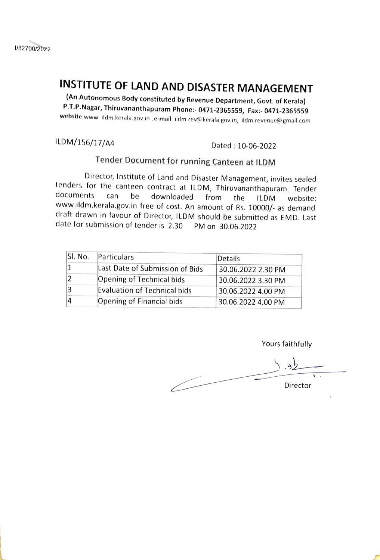

# **INSTITUTE OF LAND AND DISASTER MANAGEMENT** (An Autonomous Body constituted by Revenue Department, Govt. of Kerala)

P.T.P.Nagar, Thiruvananthapuram Phone: 0471-2365559, Fax:- 0471-2365559 website: www.ildm.kerala.gov.in,e-mail:ildm.rev@kerala.gov.in,ildm.revenue@gmail.com

ILDM/156/17/A4 Dated: 10-06-2022

# Tender Document for running Canteen at ILDM

Director, Institute of Land and Disaster Management, invites sealed tenders for the canteen contract at ILDM, Thiruvananthapuram. Tender<br>documents can be downloaded from the ILDM website: documents can be downloaded from the ILDM website: www.ildm.kerala.gov.in free of cost. An amount of Rs. 10000/- as demand draft drawn in favour of Director, ILDM should be submitted as EMD. Last date for submission of tender is 2.30 PM on 30.06.2022

| Sl. No. | Particulars                     | Details            |
|---------|---------------------------------|--------------------|
|         | Last Date of Submission of Bids | 30.06.2022 2.30 PM |
|         | Opening of Technical bids       | 30.06.2022 3.30 PM |
|         | Evaluation of Technical bids    | 30.06.2022 4.00 PM |
|         | Opening of Financial bids       | 30.06.2022 4.00 PM |

Yours faithfully

 $\mathbf{k}$ Director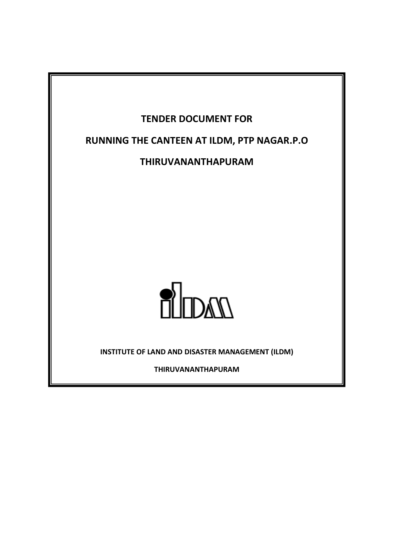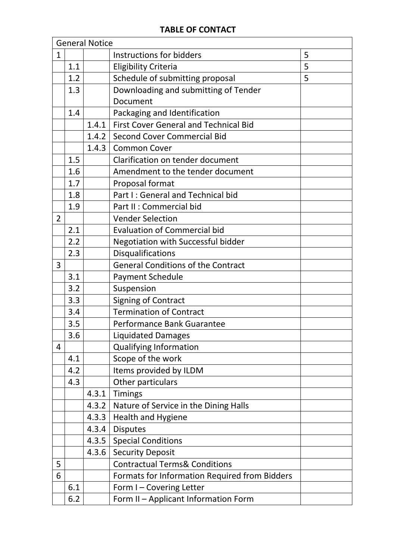|              | <b>General Notice</b> |       |                                               |   |
|--------------|-----------------------|-------|-----------------------------------------------|---|
| $\mathbf{1}$ |                       |       | Instructions for bidders                      | 5 |
|              | 1.1                   |       | <b>Eligibility Criteria</b>                   | 5 |
|              | 1.2                   |       | Schedule of submitting proposal               | 5 |
|              | 1.3                   |       | Downloading and submitting of Tender          |   |
|              |                       |       | Document                                      |   |
|              | 1.4                   |       | Packaging and Identification                  |   |
|              |                       | 1.4.1 | <b>First Cover General and Technical Bid</b>  |   |
|              |                       | 1.4.2 | <b>Second Cover Commercial Bid</b>            |   |
|              |                       | 1.4.3 | <b>Common Cover</b>                           |   |
|              | 1.5                   |       | Clarification on tender document              |   |
|              | 1.6                   |       | Amendment to the tender document              |   |
|              | 1.7                   |       | Proposal format                               |   |
|              | 1.8                   |       | Part I: General and Technical bid             |   |
|              | 1.9                   |       | Part II : Commercial bid                      |   |
| 2            |                       |       | <b>Vender Selection</b>                       |   |
|              | 2.1                   |       | <b>Evaluation of Commercial bid</b>           |   |
|              | 2.2                   |       | Negotiation with Successful bidder            |   |
|              | 2.3                   |       | Disqualifications                             |   |
| 3            |                       |       | <b>General Conditions of the Contract</b>     |   |
|              | 3.1                   |       | <b>Payment Schedule</b>                       |   |
|              | 3.2                   |       | Suspension                                    |   |
|              | 3.3                   |       | Signing of Contract                           |   |
|              | 3.4                   |       | <b>Termination of Contract</b>                |   |
|              | 3.5                   |       | Performance Bank Guarantee                    |   |
|              | 3.6                   |       | <b>Liquidated Damages</b>                     |   |
| 4            |                       |       | <b>Qualifying Information</b>                 |   |
|              | 4.1                   |       | Scope of the work                             |   |
|              | 4.2                   |       | Items provided by ILDM                        |   |
|              | 4.3                   |       | Other particulars                             |   |
|              |                       | 4.3.1 | <b>Timings</b>                                |   |
|              |                       | 4.3.2 | Nature of Service in the Dining Halls         |   |
|              |                       | 4.3.3 | <b>Health and Hygiene</b>                     |   |
|              |                       | 4.3.4 | <b>Disputes</b>                               |   |
|              |                       | 4.3.5 | <b>Special Conditions</b>                     |   |
|              |                       | 4.3.6 | <b>Security Deposit</b>                       |   |
| 5            |                       |       | <b>Contractual Terms&amp; Conditions</b>      |   |
| 6            |                       |       | Formats for Information Required from Bidders |   |
|              | 6.1                   |       | Form I-Covering Letter                        |   |
|              | 6.2                   |       | Form II - Applicant Information Form          |   |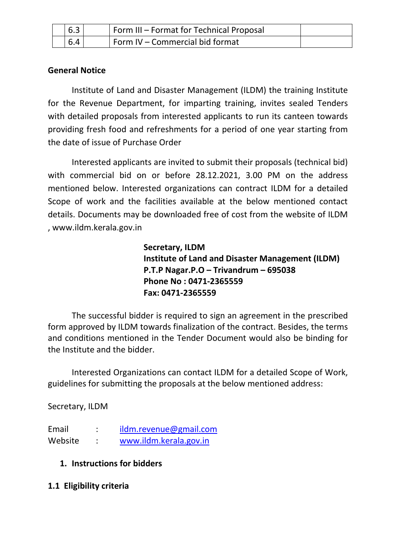| 6.3 | Form III - Format for Technical Proposal |  |
|-----|------------------------------------------|--|
| 6.4 | I Form IV - Commercial bid format        |  |

## **General Notice**

Institute of Land and Disaster Management (ILDM) the training Institute for the Revenue Department, for imparting training, invites sealed Tenders with detailed proposals from interested applicants to run its canteen towards providing fresh food and refreshments for a period of one year starting from the date of issue of Purchase Order

Interested applicants are invited to submit their proposals (technical bid) with commercial bid on or before 28.12.2021, 3.00 PM on the address mentioned below. Interested organizations can contract ILDM for a detailed Scope of work and the facilities available at the below mentioned contact details. Documents may be downloaded free of cost from the website of ILDM , www.ildm.kerala.gov.in

> **Secretary, ILDM Institute of Land and Disaster Management (ILDM) P.T.P Nagar.P.O – Trivandrum – 695038 Phone No : 0471-2365559 Fax: 0471-2365559**

The successful bidder is required to sign an agreement in the prescribed form approved by ILDM towards finalization of the contract. Besides, the terms and conditions mentioned in the Tender Document would also be binding for the Institute and the bidder.

Interested Organizations can contact ILDM for a detailed Scope of Work, guidelines for submitting the proposals at the below mentioned address:

Secretary, ILDM

Email : [ildm.revenue@gmail.com](mailto:ildm.revenue@gmail.com) Website : [www.ildm.kerala.gov.in](http://www.ildm.kerala.gov.in/)

- **1. Instructions for bidders**
- **1.1 Eligibility criteria**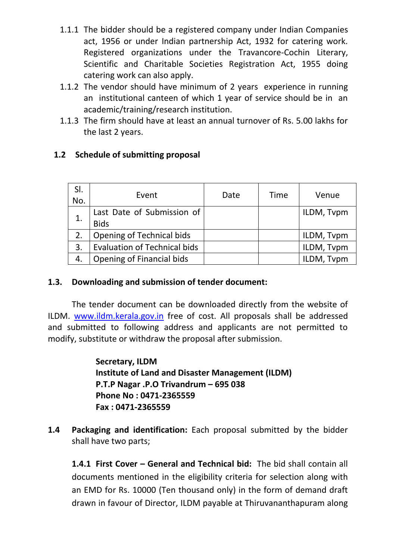- 1.1.1 The bidder should be a registered company under Indian Companies act, 1956 or under Indian partnership Act, 1932 for catering work. Registered organizations under the Travancore-Cochin Literary, Scientific and Charitable Societies Registration Act, 1955 doing catering work can also apply.
- 1.1.2 The vendor should have minimum of 2 years experience in running an institutional canteen of which 1 year of service should be in an academic/training/research institution.
- 1.1.3 The firm should have at least an annual turnover of Rs. 5.00 lakhs for the last 2 years.

# **1.2 Schedule of submitting proposal**

| SI.<br>No. | Event                                     | Date | <b>Time</b> | Venue      |
|------------|-------------------------------------------|------|-------------|------------|
|            | Last Date of Submission of<br><b>Bids</b> |      |             | ILDM, Tvpm |
| 2.         | Opening of Technical bids                 |      |             | ILDM, Tvpm |
| 3.         | <b>Evaluation of Technical bids</b>       |      |             | ILDM, Tvpm |
| 4.         | Opening of Financial bids                 |      |             | ILDM, Tvpm |

#### **1.3. Downloading and submission of tender document:**

The tender document can be downloaded directly from the website of ILDM. [www.ildm.kerala.gov.in](http://www.ildm.kerala.gov.in/) free of cost. All proposals shall be addressed and submitted to following address and applicants are not permitted to modify, substitute or withdraw the proposal after submission.

> **Secretary, ILDM Institute of Land and Disaster Management (ILDM) P.T.P Nagar .P.O Trivandrum – 695 038 Phone No : 0471-2365559 Fax : 0471-2365559**

**1.4 Packaging and identification:** Each proposal submitted by the bidder shall have two parts;

**1.4.1 First Cover – General and Technical bid:** The bid shall contain all documents mentioned in the eligibility criteria for selection along with an EMD for Rs. 10000 (Ten thousand only) in the form of demand draft drawn in favour of Director, ILDM payable at Thiruvananthapuram along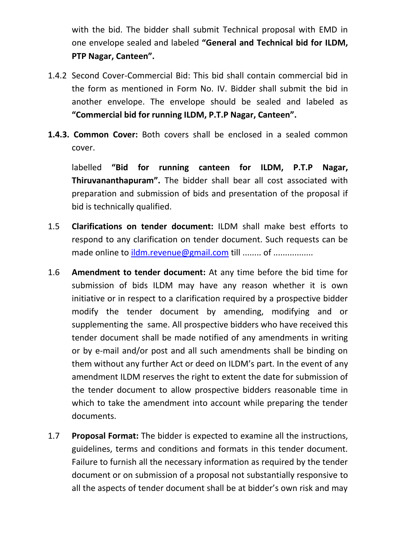with the bid. The bidder shall submit Technical proposal with EMD in one envelope sealed and labeled **"General and Technical bid for ILDM, PTP Nagar, Canteen".**

- 1.4.2 Second Cover-Commercial Bid: This bid shall contain commercial bid in the form as mentioned in Form No. IV. Bidder shall submit the bid in another envelope. The envelope should be sealed and labeled as **"Commercial bid for running ILDM, P.T.P Nagar, Canteen".**
- **1.4.3. Common Cover:** Both covers shall be enclosed in a sealed common cover.

labelled **"Bid for running canteen for ILDM, P.T.P Nagar, Thiruvananthapuram".** The bidder shall bear all cost associated with preparation and submission of bids and presentation of the proposal if bid is technically qualified.

- 1.5 **Clarifications on tender document:** ILDM shall make best efforts to respond to any clarification on tender document. Such requests can be made online to [ildm.revenue@gmail.com](mailto:ildm.revenue@gmail.com) till ........ of ..................
- 1.6 **Amendment to tender document:** At any time before the bid time for submission of bids ILDM may have any reason whether it is own initiative or in respect to a clarification required by a prospective bidder modify the tender document by amending, modifying and or supplementing the same. All prospective bidders who have received this tender document shall be made notified of any amendments in writing or by e-mail and/or post and all such amendments shall be binding on them without any further Act or deed on ILDM's part. In the event of any amendment ILDM reserves the right to extent the date for submission of the tender document to allow prospective bidders reasonable time in which to take the amendment into account while preparing the tender documents.
- 1.7 **Proposal Format:** The bidder is expected to examine all the instructions, guidelines, terms and conditions and formats in this tender document. Failure to furnish all the necessary information as required by the tender document or on submission of a proposal not substantially responsive to all the aspects of tender document shall be at bidder's own risk and may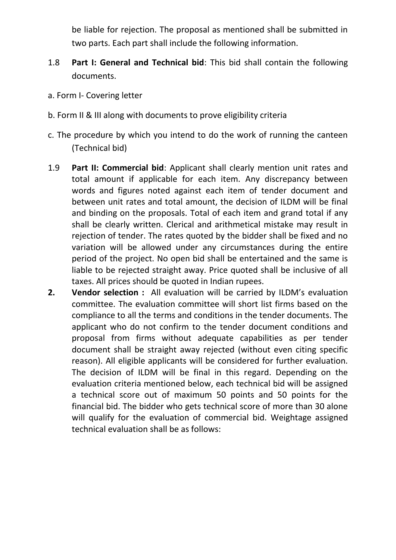be liable for rejection. The proposal as mentioned shall be submitted in two parts. Each part shall include the following information.

- 1.8 **Part I: General and Technical bid**: This bid shall contain the following documents.
- a. Form I- Covering letter
- b. Form II & III along with documents to prove eligibility criteria
- c. The procedure by which you intend to do the work of running the canteen (Technical bid)
- 1.9 **Part II: Commercial bid**: Applicant shall clearly mention unit rates and total amount if applicable for each item. Any discrepancy between words and figures noted against each item of tender document and between unit rates and total amount, the decision of ILDM will be final and binding on the proposals. Total of each item and grand total if any shall be clearly written. Clerical and arithmetical mistake may result in rejection of tender. The rates quoted by the bidder shall be fixed and no variation will be allowed under any circumstances during the entire period of the project. No open bid shall be entertained and the same is liable to be rejected straight away. Price quoted shall be inclusive of all taxes. All prices should be quoted in Indian rupees.
- **2. Vendor selection :** All evaluation will be carried by ILDM's evaluation committee. The evaluation committee will short list firms based on the compliance to all the terms and conditions in the tender documents. The applicant who do not confirm to the tender document conditions and proposal from firms without adequate capabilities as per tender document shall be straight away rejected (without even citing specific reason). All eligible applicants will be considered for further evaluation. The decision of ILDM will be final in this regard. Depending on the evaluation criteria mentioned below, each technical bid will be assigned a technical score out of maximum 50 points and 50 points for the financial bid. The bidder who gets technical score of more than 30 alone will qualify for the evaluation of commercial bid. Weightage assigned technical evaluation shall be as follows: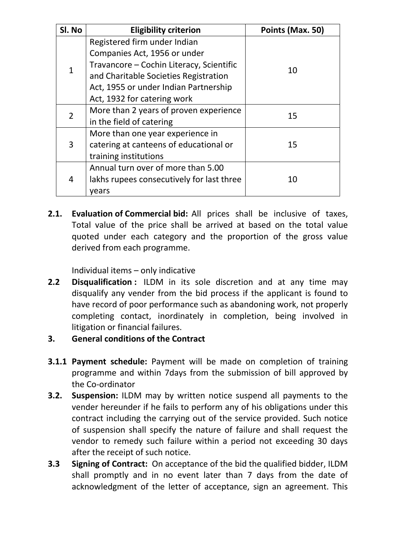| Sl. No         | <b>Eligibility criterion</b>              | Points (Max. 50) |
|----------------|-------------------------------------------|------------------|
|                | Registered firm under Indian              |                  |
|                | Companies Act, 1956 or under              |                  |
| 1              | Travancore - Cochin Literacy, Scientific  | 10               |
|                | and Charitable Societies Registration     |                  |
|                | Act, 1955 or under Indian Partnership     |                  |
|                | Act, 1932 for catering work               |                  |
| $\overline{2}$ | More than 2 years of proven experience    | 15               |
|                | in the field of catering                  |                  |
|                | More than one year experience in          |                  |
| 3              | catering at canteens of educational or    | 15               |
|                | training institutions                     |                  |
| 4              | Annual turn over of more than 5.00        |                  |
|                | lakhs rupees consecutively for last three | 10               |
|                | years                                     |                  |

**2.1. Evaluation of Commercial bid:** All prices shall be inclusive of taxes, Total value of the price shall be arrived at based on the total value quoted under each category and the proportion of the gross value derived from each programme.

Individual items – only indicative

- **2.2 Disqualification :** ILDM in its sole discretion and at any time may disqualify any vender from the bid process if the applicant is found to have record of poor performance such as abandoning work, not properly completing contact, inordinately in completion, being involved in litigation or financial failures.
- **3. General conditions of the Contract**
- **3.1.1 Payment schedule:** Payment will be made on completion of training programme and within 7days from the submission of bill approved by the Co-ordinator
- **3.2. Suspension:** ILDM may by written notice suspend all payments to the vender hereunder if he fails to perform any of his obligations under this contract including the carrying out of the service provided. Such notice of suspension shall specify the nature of failure and shall request the vendor to remedy such failure within a period not exceeding 30 days after the receipt of such notice.
- **3.3 Signing of Contract:** On acceptance of the bid the qualified bidder, ILDM shall promptly and in no event later than 7 days from the date of acknowledgment of the letter of acceptance, sign an agreement. This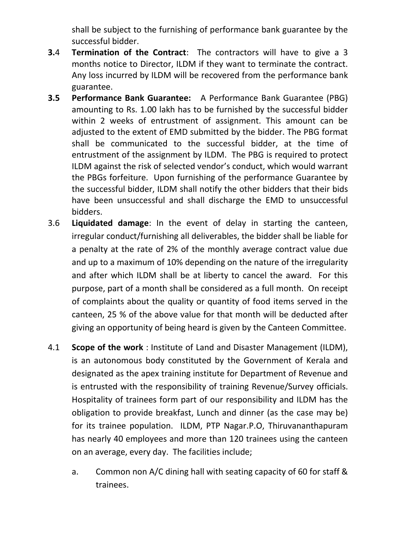shall be subject to the furnishing of performance bank guarantee by the successful bidder.

- **3.**4 **Termination of the Contract**: The contractors will have to give a 3 months notice to Director, ILDM if they want to terminate the contract. Any loss incurred by ILDM will be recovered from the performance bank guarantee.
- **3.5 Performance Bank Guarantee:** A Performance Bank Guarantee (PBG) amounting to Rs. 1.00 lakh has to be furnished by the successful bidder within 2 weeks of entrustment of assignment. This amount can be adjusted to the extent of EMD submitted by the bidder. The PBG format shall be communicated to the successful bidder, at the time of entrustment of the assignment by ILDM. The PBG is required to protect ILDM against the risk of selected vendor's conduct, which would warrant the PBGs forfeiture. Upon furnishing of the performance Guarantee by the successful bidder, ILDM shall notify the other bidders that their bids have been unsuccessful and shall discharge the EMD to unsuccessful bidders.
- 3.6 **Liquidated damage**: In the event of delay in starting the canteen, irregular conduct/furnishing all deliverables, the bidder shall be liable for a penalty at the rate of 2% of the monthly average contract value due and up to a maximum of 10% depending on the nature of the irregularity and after which ILDM shall be at liberty to cancel the award. For this purpose, part of a month shall be considered as a full month. On receipt of complaints about the quality or quantity of food items served in the canteen, 25 % of the above value for that month will be deducted after giving an opportunity of being heard is given by the Canteen Committee.
- 4.1 **Scope of the work** : Institute of Land and Disaster Management (ILDM), is an autonomous body constituted by the Government of Kerala and designated as the apex training institute for Department of Revenue and is entrusted with the responsibility of training Revenue/Survey officials. Hospitality of trainees form part of our responsibility and ILDM has the obligation to provide breakfast, Lunch and dinner (as the case may be) for its trainee population. ILDM, PTP Nagar.P.O, Thiruvananthapuram has nearly 40 employees and more than 120 trainees using the canteen on an average, every day. The facilities include;
	- a. Common non A/C dining hall with seating capacity of 60 for staff & trainees.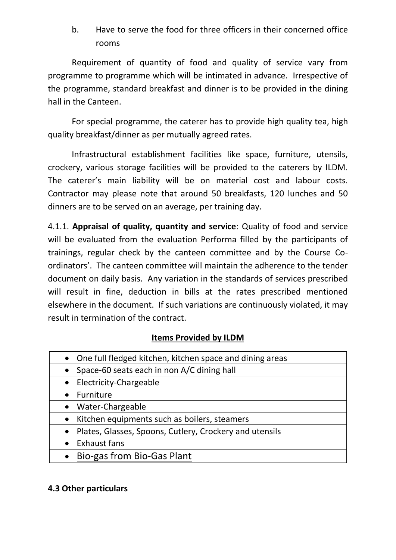b. Have to serve the food for three officers in their concerned office rooms

Requirement of quantity of food and quality of service vary from programme to programme which will be intimated in advance. Irrespective of the programme, standard breakfast and dinner is to be provided in the dining hall in the Canteen.

For special programme, the caterer has to provide high quality tea, high quality breakfast/dinner as per mutually agreed rates.

Infrastructural establishment facilities like space, furniture, utensils, crockery, various storage facilities will be provided to the caterers by ILDM. The caterer's main liability will be on material cost and labour costs. Contractor may please note that around 50 breakfasts, 120 lunches and 50 dinners are to be served on an average, per training day.

4.1.1. **Appraisal of quality, quantity and service**: Quality of food and service will be evaluated from the evaluation Performa filled by the participants of trainings, regular check by the canteen committee and by the Course Coordinators'. The canteen committee will maintain the adherence to the tender document on daily basis. Any variation in the standards of services prescribed will result in fine, deduction in bills at the rates prescribed mentioned elsewhere in the document. If such variations are continuously violated, it may result in termination of the contract.

# **Items Provided by ILDM**

- One full fledged kitchen, kitchen space and dining areas
- Space-60 seats each in non A/C dining hall
- Electricity-Chargeable
- Furniture
- Water-Chargeable
- Kitchen equipments such as boilers, steamers
- Plates, Glasses, Spoons, Cutlery, Crockery and utensils
- Exhaust fans
- Bio-gas from Bio-Gas Plant

# **4.3 Other particulars**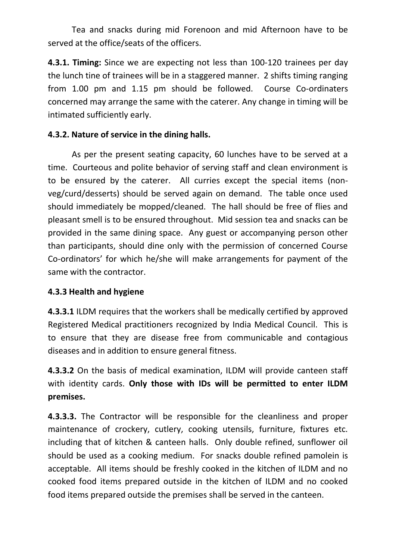Tea and snacks during mid Forenoon and mid Afternoon have to be served at the office/seats of the officers.

**4.3.1. Timing:** Since we are expecting not less than 100-120 trainees per day the lunch tine of trainees will be in a staggered manner. 2 shifts timing ranging from 1.00 pm and 1.15 pm should be followed. Course Co-ordinaters concerned may arrange the same with the caterer. Any change in timing will be intimated sufficiently early.

# **4.3.2. Nature of service in the dining halls.**

As per the present seating capacity, 60 lunches have to be served at a time. Courteous and polite behavior of serving staff and clean environment is to be ensured by the caterer. All curries except the special items (nonveg/curd/desserts) should be served again on demand. The table once used should immediately be mopped/cleaned. The hall should be free of flies and pleasant smell is to be ensured throughout. Mid session tea and snacks can be provided in the same dining space. Any guest or accompanying person other than participants, should dine only with the permission of concerned Course Co-ordinators' for which he/she will make arrangements for payment of the same with the contractor.

# **4.3.3 Health and hygiene**

**4.3.3.1** ILDM requires that the workers shall be medically certified by approved Registered Medical practitioners recognized by India Medical Council. This is to ensure that they are disease free from communicable and contagious diseases and in addition to ensure general fitness.

**4.3.3.2** On the basis of medical examination, ILDM will provide canteen staff with identity cards. **Only those with IDs will be permitted to enter ILDM premises.**

**4.3.3.3.** The Contractor will be responsible for the cleanliness and proper maintenance of crockery, cutlery, cooking utensils, furniture, fixtures etc. including that of kitchen & canteen halls. Only double refined, sunflower oil should be used as a cooking medium. For snacks double refined pamolein is acceptable. All items should be freshly cooked in the kitchen of ILDM and no cooked food items prepared outside in the kitchen of ILDM and no cooked food items prepared outside the premises shall be served in the canteen.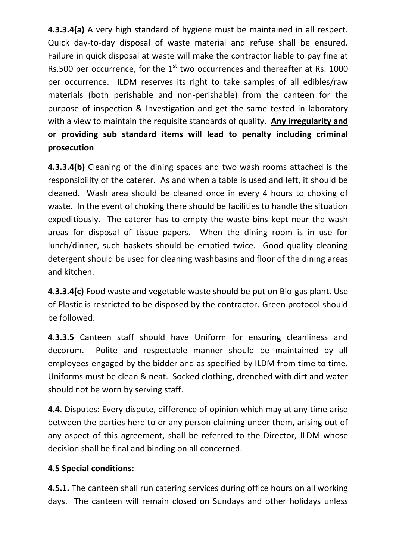**4.3.3.4(a)** A very high standard of hygiene must be maintained in all respect. Quick day-to-day disposal of waste material and refuse shall be ensured. Failure in quick disposal at waste will make the contractor liable to pay fine at Rs.500 per occurrence, for the  $1<sup>st</sup>$  two occurrences and thereafter at Rs. 1000 per occurrence. ILDM reserves its right to take samples of all edibles/raw materials (both perishable and non-perishable) from the canteen for the purpose of inspection & Investigation and get the same tested in laboratory with a view to maintain the requisite standards of quality. **Any irregularity and or providing sub standard items will lead to penalty including criminal prosecution**

**4.3.3.4(b)** Cleaning of the dining spaces and two wash rooms attached is the responsibility of the caterer. As and when a table is used and left, it should be cleaned. Wash area should be cleaned once in every 4 hours to choking of waste. In the event of choking there should be facilities to handle the situation expeditiously. The caterer has to empty the waste bins kept near the wash areas for disposal of tissue papers. When the dining room is in use for lunch/dinner, such baskets should be emptied twice. Good quality cleaning detergent should be used for cleaning washbasins and floor of the dining areas and kitchen.

**4.3.3.4(c)** Food waste and vegetable waste should be put on Bio-gas plant. Use of Plastic is restricted to be disposed by the contractor. Green protocol should be followed.

**4.3.3.5** Canteen staff should have Uniform for ensuring cleanliness and decorum. Polite and respectable manner should be maintained by all employees engaged by the bidder and as specified by ILDM from time to time. Uniforms must be clean & neat. Socked clothing, drenched with dirt and water should not be worn by serving staff.

**4.4**. Disputes: Every dispute, difference of opinion which may at any time arise between the parties here to or any person claiming under them, arising out of any aspect of this agreement, shall be referred to the Director, ILDM whose decision shall be final and binding on all concerned.

# **4.5 Special conditions:**

**4.5.1.** The canteen shall run catering services during office hours on all working days. The canteen will remain closed on Sundays and other holidays unless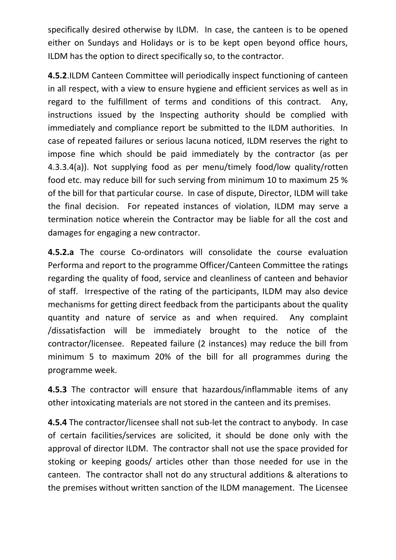specifically desired otherwise by ILDM. In case, the canteen is to be opened either on Sundays and Holidays or is to be kept open beyond office hours, ILDM has the option to direct specifically so, to the contractor.

**4.5.2**.ILDM Canteen Committee will periodically inspect functioning of canteen in all respect, with a view to ensure hygiene and efficient services as well as in regard to the fulfillment of terms and conditions of this contract. Any, instructions issued by the Inspecting authority should be complied with immediately and compliance report be submitted to the ILDM authorities. In case of repeated failures or serious lacuna noticed, ILDM reserves the right to impose fine which should be paid immediately by the contractor (as per 4.3.3.4(a)). Not supplying food as per menu/timely food/low quality/rotten food etc. may reduce bill for such serving from minimum 10 to maximum 25 % of the bill for that particular course. In case of dispute, Director, ILDM will take the final decision. For repeated instances of violation, ILDM may serve a termination notice wherein the Contractor may be liable for all the cost and damages for engaging a new contractor.

**4.5.2.a** The course Co-ordinators will consolidate the course evaluation Performa and report to the programme Officer/Canteen Committee the ratings regarding the quality of food, service and cleanliness of canteen and behavior of staff. Irrespective of the rating of the participants, ILDM may also device mechanisms for getting direct feedback from the participants about the quality quantity and nature of service as and when required. Any complaint /dissatisfaction will be immediately brought to the notice of the contractor/licensee. Repeated failure (2 instances) may reduce the bill from minimum 5 to maximum 20% of the bill for all programmes during the programme week.

**4.5.3** The contractor will ensure that hazardous/inflammable items of any other intoxicating materials are not stored in the canteen and its premises.

**4.5.4** The contractor/licensee shall not sub-let the contract to anybody. In case of certain facilities/services are solicited, it should be done only with the approval of director ILDM. The contractor shall not use the space provided for stoking or keeping goods/ articles other than those needed for use in the canteen. The contractor shall not do any structural additions & alterations to the premises without written sanction of the ILDM management. The Licensee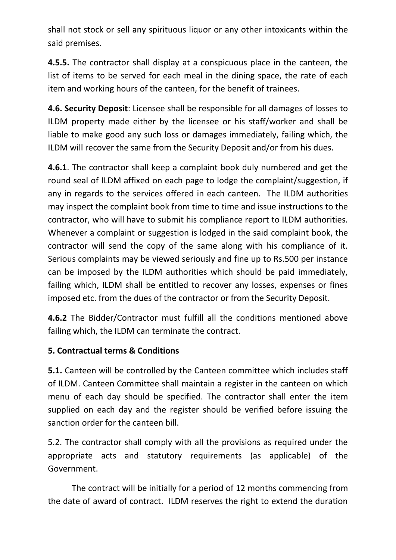shall not stock or sell any spirituous liquor or any other intoxicants within the said premises.

**4.5.5.** The contractor shall display at a conspicuous place in the canteen, the list of items to be served for each meal in the dining space, the rate of each item and working hours of the canteen, for the benefit of trainees.

**4.6. Security Deposit**: Licensee shall be responsible for all damages of losses to ILDM property made either by the licensee or his staff/worker and shall be liable to make good any such loss or damages immediately, failing which, the ILDM will recover the same from the Security Deposit and/or from his dues.

**4.6.1**. The contractor shall keep a complaint book duly numbered and get the round seal of ILDM affixed on each page to lodge the complaint/suggestion, if any in regards to the services offered in each canteen. The ILDM authorities may inspect the complaint book from time to time and issue instructions to the contractor, who will have to submit his compliance report to ILDM authorities. Whenever a complaint or suggestion is lodged in the said complaint book, the contractor will send the copy of the same along with his compliance of it. Serious complaints may be viewed seriously and fine up to Rs.500 per instance can be imposed by the ILDM authorities which should be paid immediately, failing which, ILDM shall be entitled to recover any losses, expenses or fines imposed etc. from the dues of the contractor or from the Security Deposit.

**4.6.2** The Bidder/Contractor must fulfill all the conditions mentioned above failing which, the ILDM can terminate the contract.

# **5. Contractual terms & Conditions**

**5.1.** Canteen will be controlled by the Canteen committee which includes staff of ILDM. Canteen Committee shall maintain a register in the canteen on which menu of each day should be specified. The contractor shall enter the item supplied on each day and the register should be verified before issuing the sanction order for the canteen bill.

5.2. The contractor shall comply with all the provisions as required under the appropriate acts and statutory requirements (as applicable) of the Government.

The contract will be initially for a period of 12 months commencing from the date of award of contract. ILDM reserves the right to extend the duration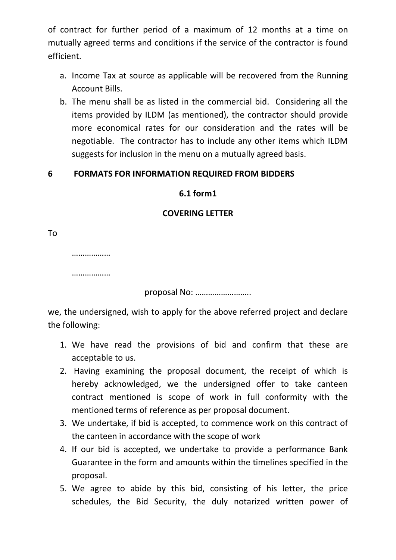of contract for further period of a maximum of 12 months at a time on mutually agreed terms and conditions if the service of the contractor is found efficient.

- a. Income Tax at source as applicable will be recovered from the Running Account Bills.
- b. The menu shall be as listed in the commercial bid. Considering all the items provided by ILDM (as mentioned), the contractor should provide more economical rates for our consideration and the rates will be negotiable. The contractor has to include any other items which ILDM suggests for inclusion in the menu on a mutually agreed basis.

## **6 FORMATS FOR INFORMATION REQUIRED FROM BIDDERS**

#### **6.1 form1**

#### **COVERING LETTER**

To

………………

……………

proposal No: ……………………..

we, the undersigned, wish to apply for the above referred project and declare the following:

- 1. We have read the provisions of bid and confirm that these are acceptable to us.
- 2. Having examining the proposal document, the receipt of which is hereby acknowledged, we the undersigned offer to take canteen contract mentioned is scope of work in full conformity with the mentioned terms of reference as per proposal document.
- 3. We undertake, if bid is accepted, to commence work on this contract of the canteen in accordance with the scope of work
- 4. If our bid is accepted, we undertake to provide a performance Bank Guarantee in the form and amounts within the timelines specified in the proposal.
- 5. We agree to abide by this bid, consisting of his letter, the price schedules, the Bid Security, the duly notarized written power of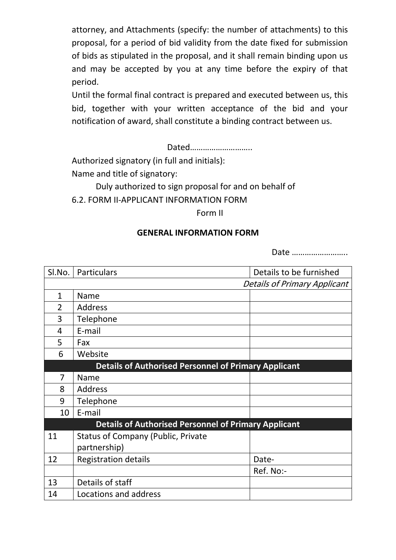attorney, and Attachments (specify: the number of attachments) to this proposal, for a period of bid validity from the date fixed for submission of bids as stipulated in the proposal, and it shall remain binding upon us and may be accepted by you at any time before the expiry of that period.

Until the formal final contract is prepared and executed between us, this bid, together with your written acceptance of the bid and your notification of award, shall constitute a binding contract between us.

Dated………………………..

Authorized signatory (in full and initials):

Name and title of signatory:

Duly authorized to sign proposal for and on behalf of 6.2. FORM II-APPLICANT INFORMATION FORM

Form II

#### **GENERAL INFORMATION FORM**

Date ……………………..

| SI.No. | Particulars                                                 | Details to be furnished             |  |
|--------|-------------------------------------------------------------|-------------------------------------|--|
|        |                                                             | <b>Details of Primary Applicant</b> |  |
| 1      | Name                                                        |                                     |  |
| 2      | Address                                                     |                                     |  |
| 3      | Telephone                                                   |                                     |  |
| 4      | E-mail                                                      |                                     |  |
| 5      | Fax                                                         |                                     |  |
| 6      | Website                                                     |                                     |  |
|        | <b>Details of Authorised Personnel of Primary Applicant</b> |                                     |  |
| 7      | <b>Name</b>                                                 |                                     |  |
| 8      | Address                                                     |                                     |  |
| 9      | Telephone                                                   |                                     |  |
| 10     | E-mail                                                      |                                     |  |
|        | <b>Details of Authorised Personnel of Primary Applicant</b> |                                     |  |
| 11     | <b>Status of Company (Public, Private</b>                   |                                     |  |
|        | partnership)                                                |                                     |  |
| 12     | <b>Registration details</b>                                 | Date-                               |  |
|        |                                                             | Ref. No:-                           |  |
| 13     | Details of staff                                            |                                     |  |
| 14     | Locations and address                                       |                                     |  |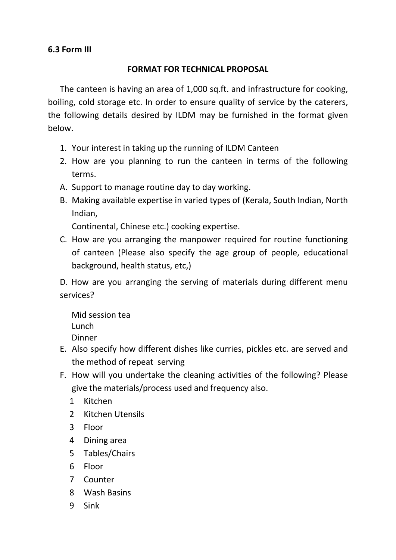# **6.3 Form III**

#### **FORMAT FOR TECHNICAL PROPOSAL**

The canteen is having an area of 1,000 sq.ft. and infrastructure for cooking, boiling, cold storage etc. In order to ensure quality of service by the caterers, the following details desired by ILDM may be furnished in the format given below.

- 1. Your interest in taking up the running of ILDM Canteen
- 2. How are you planning to run the canteen in terms of the following terms.
- A. Support to manage routine day to day working.
- B. Making available expertise in varied types of (Kerala, South Indian, North Indian,

Continental, Chinese etc.) cooking expertise.

C. How are you arranging the manpower required for routine functioning of canteen (Please also specify the age group of people, educational background, health status, etc,)

D. How are you arranging the serving of materials during different menu services?

Mid session tea Lunch Dinner

- E. Also specify how different dishes like curries, pickles etc. are served and the method of repeat serving
- F. How will you undertake the cleaning activities of the following? Please give the materials/process used and frequency also.
	- 1 Kitchen
	- 2 Kitchen Utensils
	- 3 Floor
	- 4 Dining area
	- 5 Tables/Chairs
	- 6 Floor
	- 7 Counter
	- 8 Wash Basins
	- 9 Sink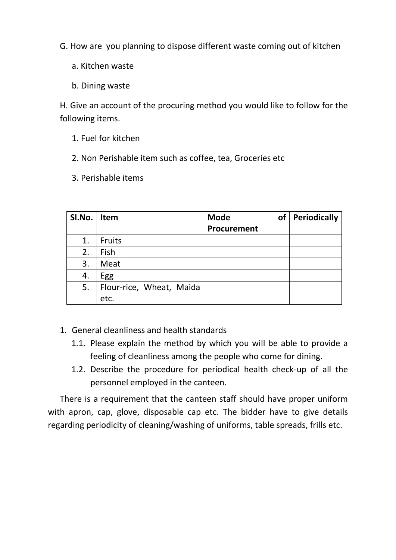G. How are you planning to dispose different waste coming out of kitchen

- a. Kitchen waste
- b. Dining waste

H. Give an account of the procuring method you would like to follow for the following items.

- 1. Fuel for kitchen
- 2. Non Perishable item such as coffee, tea, Groceries etc
- 3. Perishable items

| SI.No. | Item                     | <b>Mode</b><br>of | Periodically |
|--------|--------------------------|-------------------|--------------|
|        |                          | Procurement       |              |
| 1.     | Fruits                   |                   |              |
| 2.     | Fish                     |                   |              |
| 3.     | Meat                     |                   |              |
| 4.     | Egg                      |                   |              |
| 5.     | Flour-rice, Wheat, Maida |                   |              |
|        | etc.                     |                   |              |

- 1. General cleanliness and health standards
	- 1.1. Please explain the method by which you will be able to provide a feeling of cleanliness among the people who come for dining.
	- 1.2. Describe the procedure for periodical health check-up of all the personnel employed in the canteen.

There is a requirement that the canteen staff should have proper uniform with apron, cap, glove, disposable cap etc. The bidder have to give details regarding periodicity of cleaning/washing of uniforms, table spreads, frills etc.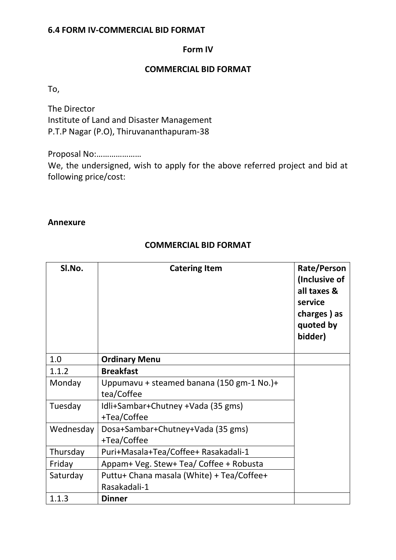#### **6.4 FORM IV-COMMERCIAL BID FORMAT**

#### **Form IV**

#### **COMMERCIAL BID FORMAT**

To,

The Director Institute of Land and Disaster Management P.T.P Nagar (P.O), Thiruvananthapuram-38

Proposal No:…………………

We, the undersigned, wish to apply for the above referred project and bid at following price/cost:

#### **Annexure**

#### **COMMERCIAL BID FORMAT**

| SI.No.    | <b>Catering Item</b>                                    | Rate/Person<br>(Inclusive of<br>all taxes &<br>service<br>charges) as<br>quoted by<br>bidder) |
|-----------|---------------------------------------------------------|-----------------------------------------------------------------------------------------------|
| 1.0       | <b>Ordinary Menu</b>                                    |                                                                                               |
| 1.1.2     | <b>Breakfast</b>                                        |                                                                                               |
| Monday    | Uppumavu + steamed banana (150 gm-1 No.)+<br>tea/Coffee |                                                                                               |
| Tuesday   | Idli+Sambar+Chutney +Vada (35 gms)<br>+Tea/Coffee       |                                                                                               |
| Wednesday | Dosa+Sambar+Chutney+Vada (35 gms)<br>+Tea/Coffee        |                                                                                               |
| Thursday  | Puri+Masala+Tea/Coffee+ Rasakadali-1                    |                                                                                               |
| Friday    | Appam+ Veg. Stew+ Tea/ Coffee + Robusta                 |                                                                                               |
| Saturday  | Puttu+ Chana masala (White) + Tea/Coffee+               |                                                                                               |
|           | Rasakadali-1                                            |                                                                                               |
| 1.1.3     | <b>Dinner</b>                                           |                                                                                               |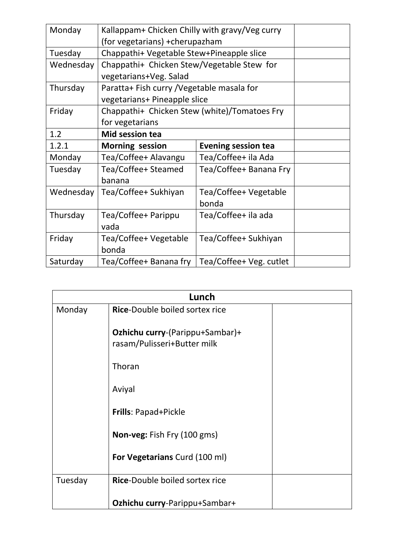| Monday    | Kallappam+ Chicken Chilly with gravy/Veg curry       |                         |  |
|-----------|------------------------------------------------------|-------------------------|--|
|           | (for vegetarians) + cherupazham                      |                         |  |
| Tuesday   | Chappathi+ Vegetable Stew+Pineapple slice            |                         |  |
| Wednesday | Chappathi+ Chicken Stew/Vegetable Stew for           |                         |  |
|           | vegetarians+Veg. Salad                               |                         |  |
| Thursday  | Paratta+ Fish curry / Vegetable masala for           |                         |  |
|           | vegetarians+ Pineapple slice                         |                         |  |
| Friday    | Chappathi+ Chicken Stew (white)/Tomatoes Fry         |                         |  |
|           | for vegetarians                                      |                         |  |
| 1.2       | <b>Mid session tea</b>                               |                         |  |
| 1.2.1     | <b>Morning session</b><br><b>Evening session tea</b> |                         |  |
| Monday    | Tea/Coffee+ Alavangu                                 | Tea/Coffee+ ila Ada     |  |
| Tuesday   | Tea/Coffee+ Steamed                                  | Tea/Coffee+ Banana Fry  |  |
|           | banana                                               |                         |  |
| Wednesday | Tea/Coffee+ Sukhiyan                                 | Tea/Coffee+ Vegetable   |  |
|           |                                                      | bonda                   |  |
| Thursday  | Tea/Coffee+ Parippu                                  | Tea/Coffee+ ila ada     |  |
|           | vada                                                 |                         |  |
| Friday    | Tea/Coffee+ Vegetable                                | Tea/Coffee+ Sukhiyan    |  |
|           | bonda                                                |                         |  |
| Saturday  | Tea/Coffee+ Banana fry                               | Tea/Coffee+ Veg. cutlet |  |

|         | Lunch                                                          |  |  |
|---------|----------------------------------------------------------------|--|--|
| Monday  | Rice-Double boiled sortex rice                                 |  |  |
|         | Ozhichu curry-(Parippu+Sambar)+<br>rasam/Pulisseri+Butter milk |  |  |
|         | Thoran                                                         |  |  |
|         | Aviyal                                                         |  |  |
|         | Frills: Papad+Pickle                                           |  |  |
|         | Non-veg: Fish Fry (100 gms)                                    |  |  |
|         | For Vegetarians Curd (100 ml)                                  |  |  |
| Tuesday | Rice-Double boiled sortex rice                                 |  |  |
|         | Ozhichu curry-Parippu+Sambar+                                  |  |  |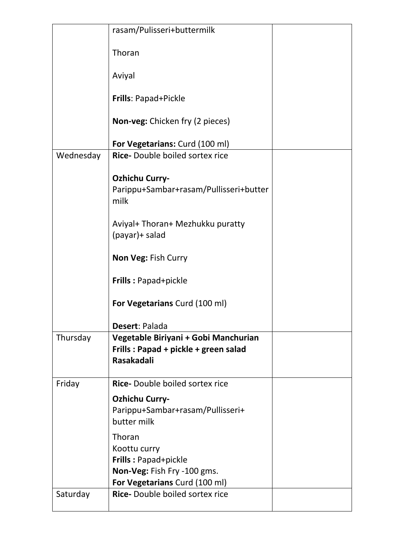|           | rasam/Pulisseri+buttermilk                                                                        |  |
|-----------|---------------------------------------------------------------------------------------------------|--|
|           | Thoran                                                                                            |  |
|           | Aviyal                                                                                            |  |
|           | <b>Frills: Papad+Pickle</b>                                                                       |  |
|           | Non-veg: Chicken fry (2 pieces)                                                                   |  |
|           | For Vegetarians: Curd (100 ml)                                                                    |  |
| Wednesday | <b>Rice-</b> Double boiled sortex rice                                                            |  |
|           | <b>Ozhichu Curry-</b><br>Parippu+Sambar+rasam/Pullisseri+butter<br>milk                           |  |
|           | Aviyal+ Thoran+ Mezhukku puratty<br>(payar)+ salad                                                |  |
|           | Non Veg: Fish Curry                                                                               |  |
|           | Frills: Papad+pickle                                                                              |  |
|           | For Vegetarians Curd (100 ml)                                                                     |  |
|           | Desert: Palada                                                                                    |  |
| Thursday  | Vegetable Biriyani + Gobi Manchurian<br>Frills: Papad + pickle + green salad<br><b>Rasakadali</b> |  |
| Friday    | <b>Rice-</b> Double boiled sortex rice                                                            |  |
|           | <b>Ozhichu Curry-</b><br>Parippu+Sambar+rasam/Pullisseri+<br>butter milk                          |  |
|           | Thoran<br>Koottu curry                                                                            |  |
|           | <b>Frills: Papad+pickle</b><br>Non-Veg: Fish Fry -100 gms.<br>For Vegetarians Curd (100 ml)       |  |
| Saturday  | <b>Rice-</b> Double boiled sortex rice                                                            |  |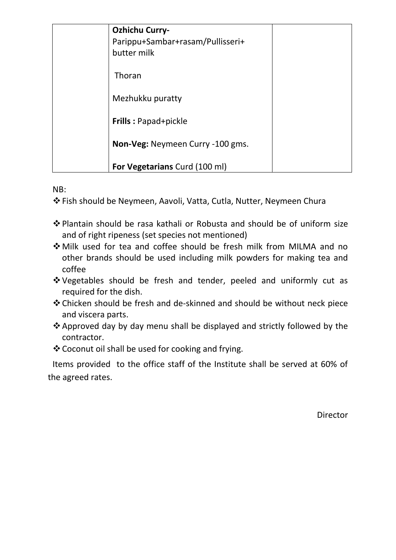| <b>Ozhichu Curry-</b><br>Parippu+Sambar+rasam/Pullisseri+<br>butter milk |  |
|--------------------------------------------------------------------------|--|
| Thoran                                                                   |  |
| Mezhukku puratty                                                         |  |
| <b>Frills: Papad+pickle</b>                                              |  |
| Non-Veg: Neymeen Curry -100 gms.                                         |  |
| <b>For Vegetarians Curd (100 ml)</b>                                     |  |

NB:

Fish should be Neymeen, Aavoli, Vatta, Cutla, Nutter, Neymeen Chura

- Plantain should be rasa kathali or Robusta and should be of uniform size and of right ripeness (set species not mentioned)
- Milk used for tea and coffee should be fresh milk from MILMA and no other brands should be used including milk powders for making tea and coffee
- Vegetables should be fresh and tender, peeled and uniformly cut as required for the dish.
- Chicken should be fresh and de-skinned and should be without neck piece and viscera parts.
- Approved day by day menu shall be displayed and strictly followed by the contractor.
- Coconut oil shall be used for cooking and frying.

Items provided to the office staff of the Institute shall be served at 60% of the agreed rates.

Director